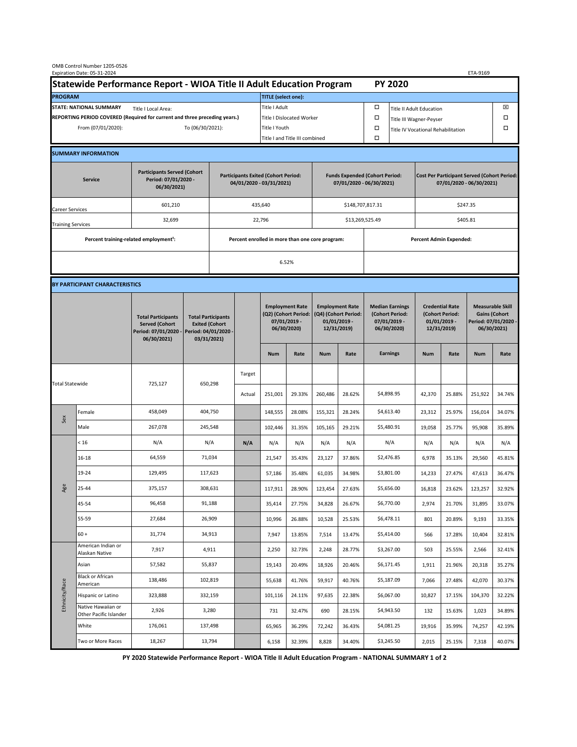|                                                                                             | OMB Control Number 1205-0526<br>Expiration Date: 05-31-2024 |                                                                                           |                                                                                           |                                                                        |                                  |                                                                               |        |                                                                                 |                                |                                                                            |                 |                                                                                |        | ETA-9169                                                                               |        |
|---------------------------------------------------------------------------------------------|-------------------------------------------------------------|-------------------------------------------------------------------------------------------|-------------------------------------------------------------------------------------------|------------------------------------------------------------------------|----------------------------------|-------------------------------------------------------------------------------|--------|---------------------------------------------------------------------------------|--------------------------------|----------------------------------------------------------------------------|-----------------|--------------------------------------------------------------------------------|--------|----------------------------------------------------------------------------------------|--------|
| Statewide Performance Report - WIOA Title II Adult Education Program                        |                                                             |                                                                                           |                                                                                           |                                                                        |                                  |                                                                               |        |                                                                                 |                                | <b>PY 2020</b>                                                             |                 |                                                                                |        |                                                                                        |        |
| <b>PROGRAM</b>                                                                              |                                                             |                                                                                           |                                                                                           |                                                                        |                                  | <b>TITLE</b> (select one):                                                    |        |                                                                                 |                                |                                                                            |                 |                                                                                |        |                                                                                        |        |
| <b>STATE: NATIONAL SUMMARY</b><br>Title I Local Area:                                       |                                                             |                                                                                           |                                                                                           |                                                                        |                                  | Title I Adult                                                                 |        |                                                                                 |                                | □<br><b>Title II Adult Education</b>                                       |                 |                                                                                |        |                                                                                        | ⊠      |
| REPORTING PERIOD COVERED (Required for current and three preceding years.)                  |                                                             |                                                                                           |                                                                                           |                                                                        | <b>Title I Dislocated Worker</b> |                                                                               |        |                                                                                 | Ω                              | □<br>Title III Wagner-Peyser                                               |                 |                                                                                |        |                                                                                        |        |
| To (06/30/2021):<br>From (07/01/2020):                                                      |                                                             |                                                                                           |                                                                                           |                                                                        | Title I Youth                    |                                                                               |        |                                                                                 | $\Box$                         | $\Box$<br>Title IV Vocational Rehabilitation                               |                 |                                                                                |        |                                                                                        |        |
|                                                                                             |                                                             |                                                                                           |                                                                                           |                                                                        |                                  | Title I and Title III combined                                                |        |                                                                                 |                                | Ω                                                                          |                 |                                                                                |        |                                                                                        |        |
|                                                                                             | <b>SUMMARY INFORMATION</b>                                  |                                                                                           |                                                                                           |                                                                        |                                  |                                                                               |        |                                                                                 |                                |                                                                            |                 |                                                                                |        |                                                                                        |        |
| <b>Participants Served (Cohort</b><br>Period: 07/01/2020 -<br><b>Service</b><br>06/30/2021) |                                                             |                                                                                           |                                                                                           | <b>Participants Exited (Cohort Period:</b><br>04/01/2020 - 03/31/2021) |                                  |                                                                               |        | <b>Funds Expended (Cohort Period:</b><br>07/01/2020 - 06/30/2021)               |                                |                                                                            |                 | <b>Cost Per Participant Served (Cohort Period:</b><br>07/01/2020 - 06/30/2021) |        |                                                                                        |        |
| <b>Career Services</b>                                                                      |                                                             | 601,210                                                                                   |                                                                                           |                                                                        |                                  | 435,640                                                                       |        |                                                                                 |                                | \$148,707,817.31                                                           |                 | \$247.35                                                                       |        |                                                                                        |        |
| <b>Training Services</b>                                                                    |                                                             | 32,699                                                                                    |                                                                                           | 22,796                                                                 |                                  |                                                                               |        |                                                                                 |                                | \$13,269,525.49                                                            |                 | \$405.81                                                                       |        |                                                                                        |        |
|                                                                                             | Percent training-related employment <sup>1</sup> :          |                                                                                           |                                                                                           | Percent enrolled in more than one core program:                        |                                  |                                                                               |        |                                                                                 | <b>Percent Admin Expended:</b> |                                                                            |                 |                                                                                |        |                                                                                        |        |
|                                                                                             |                                                             |                                                                                           |                                                                                           |                                                                        |                                  |                                                                               | 6.52%  |                                                                                 |                                |                                                                            |                 |                                                                                |        |                                                                                        |        |
|                                                                                             |                                                             |                                                                                           |                                                                                           |                                                                        |                                  |                                                                               |        |                                                                                 |                                |                                                                            |                 |                                                                                |        |                                                                                        |        |
|                                                                                             | BY PARTICIPANT CHARACTERISTICS                              |                                                                                           |                                                                                           |                                                                        |                                  |                                                                               |        |                                                                                 |                                |                                                                            |                 |                                                                                |        |                                                                                        |        |
|                                                                                             |                                                             | <b>Total Participants</b><br><b>Served (Cohort</b><br>Period: 07/01/2020 -<br>06/30/2021) | <b>Total Participants</b><br><b>Exited (Cohort</b><br>Period: 04/01/2020 -<br>03/31/2021) |                                                                        |                                  | <b>Employment Rate</b><br>(Q2) (Cohort Period:<br>07/01/2019 -<br>06/30/2020) |        | <b>Employment Rate</b><br>(Q4) (Cohort Period:<br>$01/01/2019$ -<br>12/31/2019) |                                | <b>Median Earnings</b><br>(Cohort Period:<br>$07/01/2019 -$<br>06/30/2020) |                 | <b>Credential Rate</b><br>(Cohort Period:<br>$01/01/2019$ -<br>12/31/2019)     |        | <b>Measurable Skill</b><br><b>Gains (Cohort</b><br>Period: 07/01/2020 -<br>06/30/2021) |        |
|                                                                                             |                                                             |                                                                                           |                                                                                           |                                                                        |                                  | <b>Num</b>                                                                    | Rate   | <b>Num</b>                                                                      | Rate                           |                                                                            | <b>Earnings</b> | <b>Num</b>                                                                     | Rate   | <b>Num</b>                                                                             | Rate   |
| <b>Total Statewide</b>                                                                      |                                                             | 725,127                                                                                   | 650,298                                                                                   |                                                                        | Target                           |                                                                               |        |                                                                                 |                                |                                                                            |                 |                                                                                |        |                                                                                        |        |
|                                                                                             |                                                             |                                                                                           |                                                                                           |                                                                        | Actual                           | 251,001                                                                       | 29.33% | 260,486                                                                         | 28.62%                         |                                                                            | \$4,898.95      | 42,370                                                                         | 25.88% | 251,922                                                                                | 34.74% |
| Sex                                                                                         | Female                                                      | 458,049                                                                                   | 404,750                                                                                   |                                                                        |                                  | 148,555                                                                       | 28.08% | 155,321                                                                         | 28.24%                         |                                                                            | \$4,613.40      | 23,312                                                                         | 25.97% | 156,014                                                                                | 34.07% |
|                                                                                             | Male                                                        | 267,078                                                                                   | 245,548                                                                                   |                                                                        |                                  | 102,446                                                                       | 31.35% | 105,165                                                                         | 29.21%                         |                                                                            | \$5,480.91      | 19,058                                                                         | 25.77% | 95,908                                                                                 | 35.89% |
| Age                                                                                         | < 16                                                        | N/A                                                                                       | N/A                                                                                       |                                                                        | N/A                              | N/A                                                                           | N/A    | N/A                                                                             | N/A                            |                                                                            | N/A             | N/A                                                                            | N/A    | N/A                                                                                    | N/A    |
|                                                                                             | $16 - 18$                                                   | 64,559                                                                                    | 71,034                                                                                    |                                                                        |                                  | 21,547                                                                        | 35.43% | 23,127                                                                          | 37.86%                         |                                                                            | \$2,476.85      | 6,978                                                                          | 35.13% | 29,560                                                                                 | 45.81% |
|                                                                                             | 19-24                                                       | 129,495                                                                                   | 117,623                                                                                   |                                                                        |                                  | 57,186                                                                        | 35.48% | 61,035                                                                          | 34.98%                         |                                                                            | \$3,801.00      | 14,233                                                                         | 27.47% | 47,613                                                                                 | 36.47% |
|                                                                                             | 25-44                                                       | 375,157                                                                                   | 308,631                                                                                   |                                                                        |                                  | 117,911                                                                       | 28.90% | 123,454                                                                         | 27.63%                         |                                                                            | \$5,656.00      | 16,818                                                                         | 23.62% | 123,257                                                                                | 32.92% |
|                                                                                             | 45-54                                                       | 96,458                                                                                    | 91,188                                                                                    |                                                                        |                                  | 35,414                                                                        | 27.75% | 34,828                                                                          | 26.67%                         |                                                                            | \$6,770.00      | 2,974                                                                          | 21.70% | 31,895                                                                                 | 33.07% |
|                                                                                             | 55-59                                                       | 27,684                                                                                    | 26,909                                                                                    |                                                                        |                                  | 10,996                                                                        | 26.88% | 10,528                                                                          | 25.53%                         |                                                                            | \$6,478.11      | 801                                                                            | 20.89% | 9,193                                                                                  | 33.35% |
|                                                                                             | $60 +$                                                      | 31,774                                                                                    | 34,913                                                                                    |                                                                        |                                  | 7,947                                                                         | 13.85% | 7,514                                                                           | 13.47%                         |                                                                            | \$5,414.00      | 566                                                                            | 17.28% | 10,404                                                                                 | 32.81% |
| Ethnicity/Race                                                                              | American Indian or<br>Alaskan Native                        | 7,917                                                                                     | 4,911                                                                                     |                                                                        |                                  | 2,250                                                                         | 32.73% | 2,248                                                                           | 28.77%                         |                                                                            | \$3,267.00      | 503                                                                            | 25.55% | 2,566                                                                                  | 32.41% |
|                                                                                             | Asian                                                       | 57,582                                                                                    | 55,837                                                                                    |                                                                        |                                  | 19,143                                                                        | 20.49% | 18,926                                                                          | 20.46%                         |                                                                            | \$6,171.45      | 1,911                                                                          | 21.96% | 20,318                                                                                 | 35.27% |
|                                                                                             | Black or African<br>American                                | 138,486                                                                                   | 102,819                                                                                   |                                                                        |                                  | 55,638                                                                        | 41.76% | 59,917                                                                          | 40.76%                         |                                                                            | \$5,187.09      | 7,066                                                                          | 27.48% | 42,070                                                                                 | 30.37% |
|                                                                                             | Hispanic or Latino                                          | 323,888                                                                                   | 332,159                                                                                   |                                                                        |                                  | 101,116                                                                       | 24.11% | 97,635                                                                          | 22.38%                         |                                                                            | \$6,067.00      | 10,827                                                                         | 17.15% | 104,370                                                                                | 32.22% |
|                                                                                             | Native Hawaiian or<br>Other Pacific Islander                | 2,926                                                                                     | 3,280                                                                                     |                                                                        |                                  | 731                                                                           | 32.47% | 690                                                                             | 28.15%                         |                                                                            | \$4,943.50      | 132                                                                            | 15.63% | 1,023                                                                                  | 34.89% |
|                                                                                             | White                                                       | 176,061                                                                                   | 137,498                                                                                   |                                                                        |                                  | 65,965                                                                        | 36.29% | 72,242                                                                          | 36.43%                         |                                                                            | \$4,081.25      | 19,916                                                                         | 35.99% | 74,257                                                                                 | 42.19% |
|                                                                                             | Two or More Races                                           | 18,267                                                                                    | 13,794                                                                                    |                                                                        |                                  | 6,158                                                                         | 32.39% | 8,828                                                                           | 34.40%                         |                                                                            | \$3,245.50      | 2,015                                                                          | 25.15% | 7,318                                                                                  | 40.07% |

 **PY 2020 Statewide Performance Report - WIOA Title II Adult Education Program - NATIONAL SUMMARY 1 of 2**